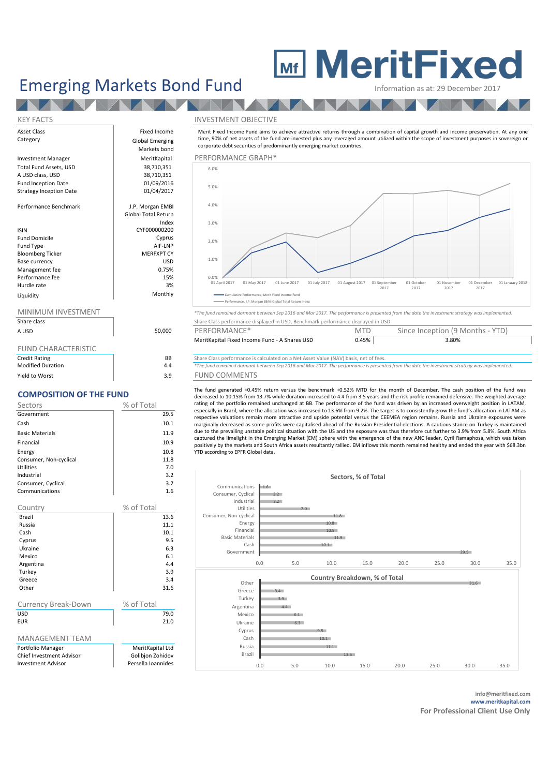# **MeritFixed**

## Emerging Markets Bond Fund Information as at: 29 December 2017

## KEY FACTS INVESTMENT OBJECTIVE

Merit Fixed Income Fund aims to achieve attractive returns through a combination of capital growth and income preservation. At any one time, 90% of net assets of the fund are invested plus any leveraged amount utilized within the scope of investment purposes in sovereign or corporate debt securities of predominantly emerging market countries.



| Share class                |       |  |
|----------------------------|-------|--|
| A USD                      | 50.00 |  |
|                            |       |  |
| <b>FUND CHARACTERISTIC</b> |       |  |

| <b>Credit Rating</b><br><b>Modified Duration</b> |  |
|--------------------------------------------------|--|
|                                                  |  |
| Yield to Worst                                   |  |

## **COMPOSITION OF THE FUND**

| Sectors                | % of Total |
|------------------------|------------|
| Government             | 29.5       |
| Cash                   | 10.1       |
| <b>Basic Materials</b> | 11.9       |
| Financial              | 10.9       |
| Energy                 | 10.8       |
| Consumer, Non-cyclical | 11.8       |
| Utilities              | 7.0        |
| Industrial             | 3.2        |
| Consumer, Cyclical     | 3.2        |
| Communications         | 1.6        |

| Country                         | % of Total         |  |  |
|---------------------------------|--------------------|--|--|
| Brazil                          | 13.6               |  |  |
| Russia                          | 11.1               |  |  |
| Cash                            | 10.1               |  |  |
| Cyprus                          | 9.5                |  |  |
| Ukraine                         | 6.3                |  |  |
| Mexico                          | 6.1                |  |  |
| Argentina                       | 4.4                |  |  |
| Turkey                          | 3.9                |  |  |
| Greece                          | 3.4                |  |  |
| Other                           | 31.6               |  |  |
|                                 |                    |  |  |
| Currency Break-Down             | % of Total         |  |  |
| <b>USD</b>                      | 79.0               |  |  |
| <b>EUR</b>                      | 21.0               |  |  |
|                                 |                    |  |  |
| <b>MANAGEMENT TEAM</b>          |                    |  |  |
| Portfolio Manager               | MeritKapital Ltd   |  |  |
| <b>Chief Investment Advisor</b> | Golibjon Zohidov   |  |  |
| <b>Investment Advisor</b>       | Persella Ioannides |  |  |



| .<br>A USD            | 50,000 | PERFORMANCE*                                  | <b>MTD</b> | Since Inception (9 Months - YTD) |  |
|-----------------------|--------|-----------------------------------------------|------------|----------------------------------|--|
|                       |        | MeritKapital Fixed Income Fund - A Shares USD | 0.45%      | 3.80%                            |  |
| CHININ CHADACTEDICTIC |        |                                               |            |                                  |  |

**BB** Share Class performance is calculated on a Net Asset Value (NAV) basis, net of fees.<br>**4**  $*$ The fund remained dormant between Sep 2016 and Mar 2017. The performance is present

Modified Duration 4.4 *\*The fund remained dormant between Sep 2016 and Mar 2017. The performance is presented from the date the investment strategy was implemented.* 9 FUND COMMENTS

The fund generated +0.45% return versus the benchmark +0.52% MTD for the month of December. The cash position of the fund was decreased to 10.15% from 13.7% while duration increased to 4.4 from 3.5 years and the risk profile remained defensive. The weighted average rating of the portfolio remained unchanged at BB. The performance of the fund was driven by an increased overweight position in LATAM, especially in Brazil, where the allocation was increased to 13.6% from 9.2%. The target is to consistently grow the fund's allocation in LATAM as respective valuations remain more attractive and upside potential versus the CEEMEA region remains. Russia and Ukraine exposures were marginally decreased as some profits were capitalised ahead of the Russian Presidential elections. A cautious stance on Turkey is maintained due to the prevailing unstable political situation with the US and the exposure was thus therefore cut further to 3.9% from 5.8%. South Africa captured the limelight in the Emerging Market (EM) sphere with the emergence of the new ANC leader, Cyril Ramaphosa, which was taken positively by the markets and South Africa assets resultantly rallied. EM inflows this month remained healthy and ended the year with \$68.3bn YTD according to EPFR Global data.